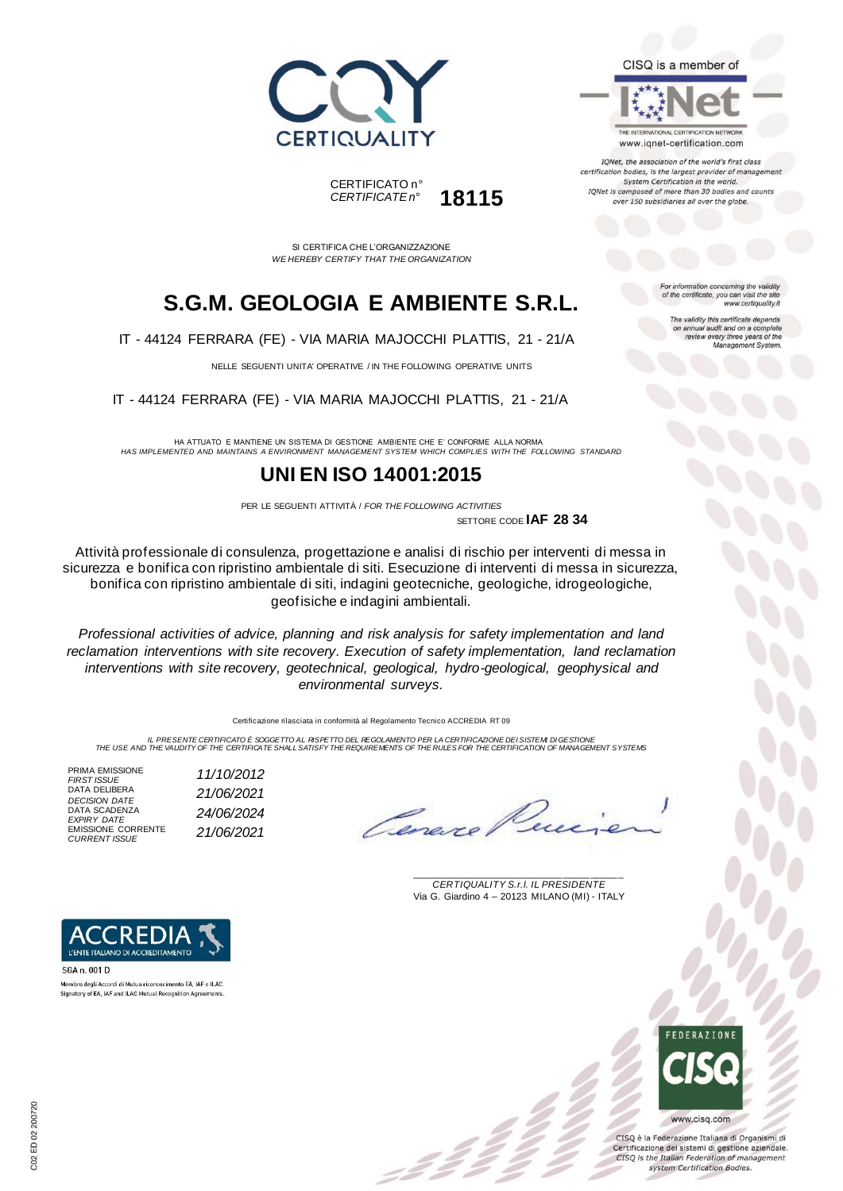



THE INTERNATIONAL CERTIFICATION NETWORK www.iqnet-certification.com

IQNet, the association of the world's first class certification bodies, is the largest provider of manager System Certification in the world. IQNet is composed of more than 30 bodies and counts over 150 subsidiaries all over the globe.

> tion concerning the validity of the certificate, you can visit the sit

The validity this certificate depends on annual audit and on a complete<br>review every three years of the<br>Management System.

www.certiquality.it

SI CERTIFICA CHE L'ORGANIZZAZIONE *WE HEREBY CERTIFY THAT THE ORGANIZATION*

CERTIFICATO n°

*CERTIFICATE n°* **18115**

## **S.G.M. GEOLOGIA E AMBIENTE S.R.L.**

IT - 44124 FERRARA (FE) - VIA MARIA MAJOCCHI PLATTIS, 21 - 21/A

NELLE SEGUENTI UNITA' OPERATIVE / IN THE FOLLOWING OPERATIVE UNITS

IT - 44124 FERRARA (FE) - VIA MARIA MAJOCCHI PLATTIS, 21 - 21/A

HA ATTUATO E MANTIENE UN SISTEMA DI GESTIONE AMBIENTE CHE E' CONFORME ALLA NORMA *HAS IMPLEMENTED AND MAINTAINS A ENVIRONMENT MANAGEMENT SYSTEM WHICH COMPLIES WITH THE FOLLOWING STANDARD*

### **UNI EN ISO 14001:2015**

PER LE SEGUENTI ATTIVITÀ / *FOR THE FOLLOWING ACTIVITIES* SETTORE CODE **IAF 28 34**

Attività professionale di consulenza, progettazione e analisi di rischio per interventi di messa in sicurezza e bonifica con ripristino ambientale di siti. Esecuzione di interventi di messa in sicurezza, bonifica con ripristino ambientale di siti, indagini geotecniche, geologiche, idrogeologiche, geofisiche e indagini ambientali.

*Professional activities of advice, planning and risk analysis for safety implementation and land reclamation interventions with site recovery. Execution of safety implementation, land reclamation interventions with site recovery, geotechnical, geological, hydro-geological, geophysical and environmental surveys.*

Certificazione rilasciata in conformità al Regolamento Tecnico ACCREDIA RT 09

IL PRESENTE CERTIFICATO E SOGGETTO AL RISPETTO DEL REGOLAMENTO PER LA CERTIFICAZIONE DEI SISTEM DI GESTIONE<br>THE USE AND THE VALIDITY OF THE CERTIFICATE SHALL SATISFY THE REQUIREMENTS OF THE RULES FOR THE CERTIFICATION OF M

PRIMA EMISSIONE<br>FIRST ISSUE DATA DELIBERA DATA SCADENZA EMISSIONE CORRENTE *CURRENT ISSUE 21/06/2021*

*FIRST ISSUE 11/10/2012 DECISION DATE 21/06/2021 EXPIRY DATE 24/06/2024*

\_\_\_\_\_\_\_\_\_\_\_\_\_\_\_\_\_\_\_\_\_\_\_\_\_\_\_\_\_\_\_\_\_\_\_\_\_\_\_ *CERTIQUALITY S.r.l. IL PRESIDENTE* Via G. Giardino 4 – 20123 MILANO (MI) - ITALY



CISO è la Federazione Italiana di Organismi di Certificazione dei sistemi di gestione aziendale. CISQ is the Italian Federation of management system Certification Bodies.



**SGA n. 001 D** Membro degli Accordi di Mutuo riconoscimento EA, IAF e ILAC Signatory of EA, IAF and ILAC Mutual Recognition Agreements